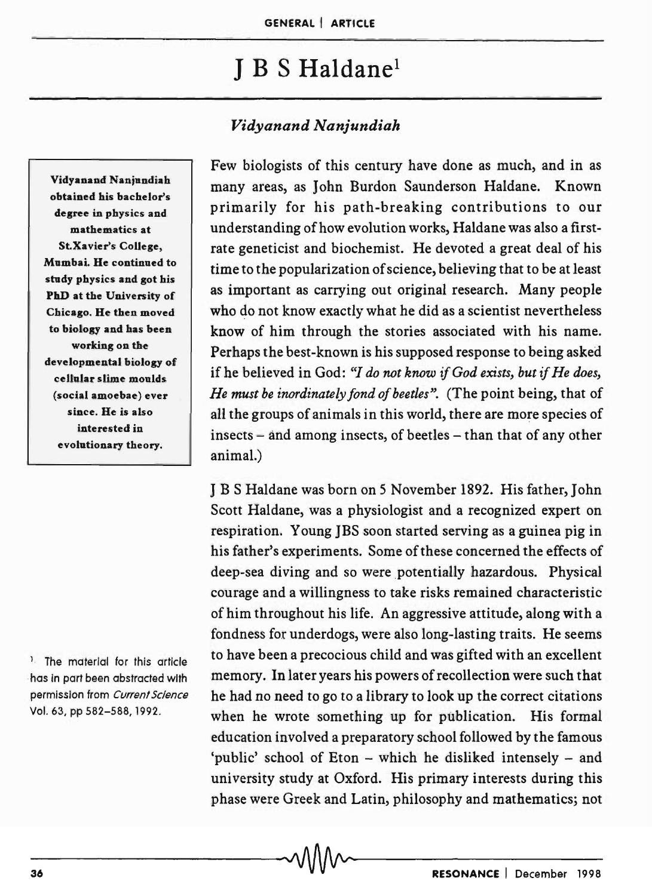## J B S Haldane<sup>l</sup>

## *Vidyanand N anjundiah*

Vidyanand Nanjundiah obtained his bachelor's degree in physics and mathematics at St.Xavier's College, Mumbai. He continued to study physics and got his PhD at the University of Chicago. He then moved to biology and has been working on the developmental biology of cellular slime moulds (social amoebae) ever since. He is also interested in evolutionary theory.

<sup>1</sup>. The material for this article has in part been abstracted with permission from Current Science Vol. 63, pp 582-588, 1992.

Few biologists of this century have done as much, and in as many areas, as John Burdon Saunderson Haldane. Known primarily for his path-breaking contributions to our understanding of how evolution works, Haldane was also a firstrate geneticist and biochemist. He devoted a great deal of his time to the popularization of science, believing that to be at least as important as carrying out original research. Many people who do not know exactly what he did as a scientist nevertheless know of him through the stories associated with his name. Perhaps the best-known is his supposed response to being asked if he believed in God: "I do not know if God exists, but if He does, *He must be inordinately fond of beetles".* (The point being, that of all the groups of animals in this world, there are more species of insects – and among insects, of beetles – than that of any other animal.)

J B S Haldane was born on 5 November 1892. His father, John Scott Haldane, was a physiologist and a recognized expert on respiration. Young JBS soon started serving as a guinea pig in his father's experiments. Some of these concerned the effects of deep-sea diving and so were potentially hazardous. Physical courage and a willingness to take risks remained characteristic of him throughout his life. An aggressive attitude, along with a fondness for underdogs, were also long-lasting traits. He seems to have been a precocious child and was gifted with an excellent memory. In later years his powers of recollection were such that he had no need to go to a library to look up the correct citations when he wrote something up for publication. His formal education involved a preparatory school followed by the famous 'public' school of Eton - which he disliked intensely - and university study at Oxford. His primary interests during this phase were Greek and Latin, philosophy and mathematics; not  $\sim$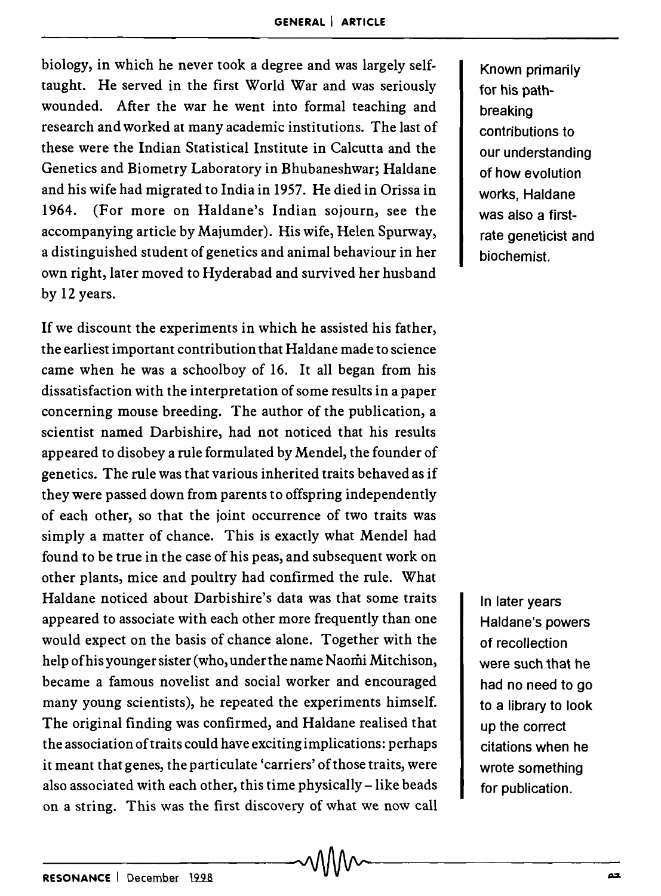biology, in which he never took a degree and was largely selftaught. He served in the first World War and was seriously wounded. After the war he went into formal teaching and research and worked at many academic institutions. The last of these were the Indian Statistical Institute in Calcutta and the Genetics and Biometry Laboratory in Bhubaneshwar; Haldane and his wife had migrated to India in 1957. He died in Orissa in 1964. (For more on Haldane's Indian sojourn, see the accompanying article by Majumder). His wife, Helen Spurway, a distinguished student of genetics and animal behaviour in her own right, later moved to Hyderabad and survived her husband by 12 years.

If we discount the experiments in which he assisted his father, the earliest important contribution that Haldane made to science came when he was a schoolboy of 16. It all began from his dissatisfaction with the interpretation of some results in a paper concerning mouse breeding. The author of the publication, a scientist named Darbishire, had not noticed that his results appeared to disobey a rule formulated by Mendel, the founder of genetics. The rule was that various inherited traits behaved as if they were passed down from parents to offspring independently of each other, so that the joint occurrence of two traits was simply a matter of chance. This is exactly what Mendel had found to be true in the case of his peas, and subsequent work on other plants, mice and poultry had confirmed the rule. What Haldane noticed about Darbishire's data was that some traits appeared to associate with each other more frequently than one would expect on the basis of chance alone. Together with the help of his younger sister (who, under the name Naomi Mitchison, became a famous novelist and social worker and encouraged many young scientists), he repeated the experiments himself. The original finding was confirmed, and Haldane realised that the association of traits could have exciting implications: perhaps it meant that genes, the particulate 'carriers' of those traits, were also associated with each other, this time physically – like beads on a string. This was the first discovery of what we now call Known primarily for his pathbreaking contributions to our understanding of how evolution works, Haldane was also a firstrate geneticist and biochemist.

In later years Haldane's powers of recollection were such that he had no need to go to a library to look up the correct citations when he wrote something for publication.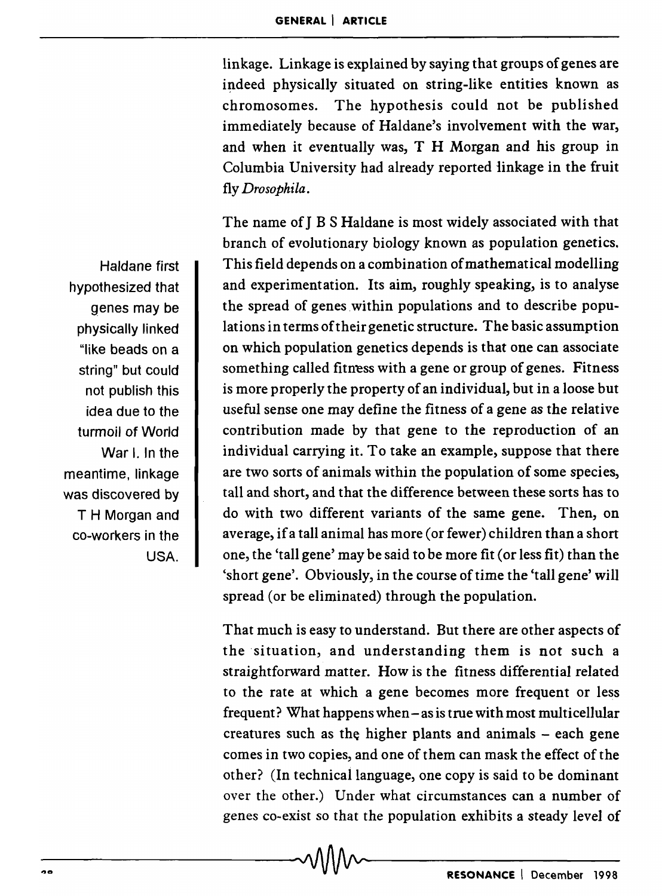linkage. Linkage is explained by saying that groups of genes are indeed physically situated on string-like entities known as chromosomes. The hypothesis could not be published immediately because of Haldane's involvement with the war, and when it eventually was, T H Morgan and his group in Columbia University had already reported linkage in the fruit fly *Drosophila.* 

The name of J B S Haldane is most widely associated with that branch of evolutionary biology known as population genetics. This field depends on a combination of mathematical modelling and experimentation. Its aim, roughly speaking, is to analyse the spread of genes within populations and to describe populations in terms of their genetic structure. The basic assumption on which population genetics depends is that one can associate something called fitness with a gene or group of genes. Fitness is more properly the property of an individual, but in a loose but useful sense one may define the fitness of a gene as the relative contribution made by that gene to the reproduction of an individual carrying it. To take an example, suppose that there are two sorts of animals within the population of some species, tall and short, and that the difference between these sorts has to do with two different variants of the same gene. Then, on average, if a tall animal has more (or fewer) children than a short one, the 'tall gene' may be said to be more fit (or less fit) than the 'short gene'. Obviously, in the course of time the 'tall gene' will spread (or be eliminated) through the population.

That much is easy to understand. But there are other aspects of the situation, and understanding them is not such a straightforward matter. How is the fitness differential related to the rate at which a gene becomes more frequent or less frequent? What happens when - as is true with most multicellular creatures such as the higher plants and animals - each gene comes in two copies, and one of them can mask the effect of the other? (In technical language, one copy is said to be dominant over the other.) Under what circumstances can a number of genes co-exist so that the population exhibits a steady level of

Haldane first hypothesized that genes may be physically linked "like beads on a string" but could not publish this idea due to the turmoil of World War I. In the meantime, linkage was discovered by T H Morgan and co-workers in the USA.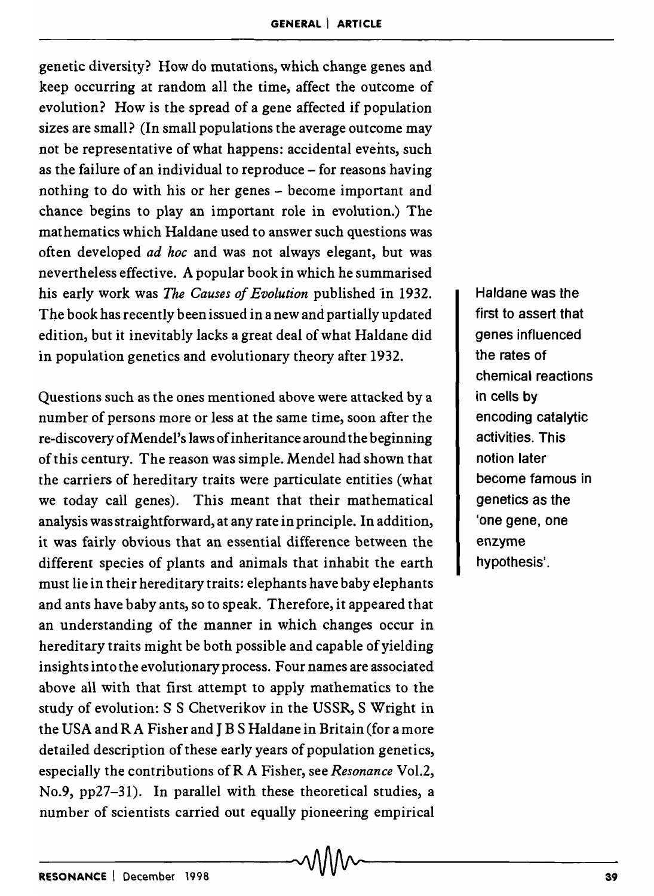genetic diversity? How do mutations, which change genes and keep occurring at random all the time, affect the outcome of evolution? How is the spread of a gene affected if population sizes are small? (In small populations the average outcome may not be representative of what happens: accidental events, such as the failure of an individual to reproduce - for reasons having nothing to do with his or her genes - become important and chance begins to play an important role in evolution.) The mathematics which Haldane used to answer such questions was often developed *ad hoc* and was not always elegant, but was nevertheless effective. A popular book in which he summarised his early work was *The Causes of Evolution* published jn 1932. The book has recently been issued in a new and partially updated edition, but it inevitably lacks a great deal of what Haldane did in population genetics and evolutionary theory after 1932.

Questions such as the ones mentioned above were attacked by a number of persons more or less at the same time, soon after the re-discovery of Mendel's laws of inheritance around the beginning of this century. The reason was simple. Mendel had shown that the carriers of hereditary traits were particulate entities (what we today call genes). This meant that their mathematical analysis was straightforward, at any rate in principle. In addition, it was fairly obvious that an essential difference between the different species of plants and animals that inhabit the earth must lie in their hereditary traits: elephants have baby elephants and ants have baby ants, so to speak. Therefore, it appeared that an understanding of the manner in which changes occur in hereditary traits might be both possible and capable of yielding insights into the evolutionary process. Four names are associated above all with that first attempt to apply mathematics to the study of evolution: S S Chetverikov in the USSR, S Wright in the USA and RA Fisher and J B S Haldane in Britain (for a more detailed description of these early years of population genetics, especially the contributions of R A Fisher, see *Resonance* Vol.2, No.9, pp27-31). In parallel with these theoretical studies, a number of scientists carried out equally pioneering empirical

Haldane was the first to assert that genes influenced the rates of chemical reactions in cells by encoding catalytic activities. This notion later become famous in genetics as the 'one gene, one enzyme hypothesis'.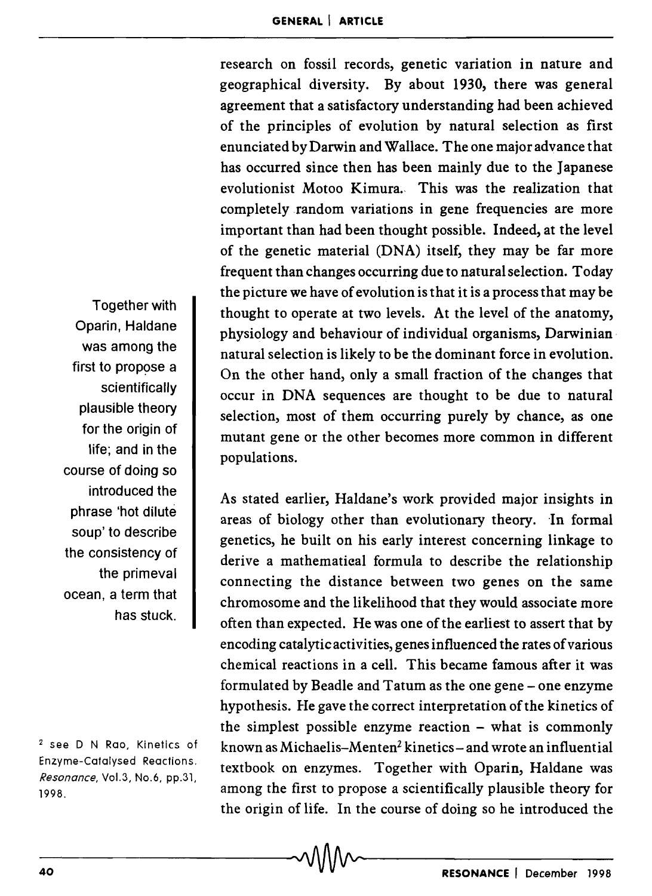research on fossil records, genetic variation in nature and geographical diversity. By about 1930, there was general agreement that a satisfactory understanding had been achieved of the principles of evolution by natural selection as first enunciated by Darwin and Wallace. The one major advance that has occurred since then has been mainly due to the Japanese evolutionist Motoo Kimura. This was the realization that completely random variations in gene frequencies are more important than had been thought possible. Indeed, at the level of the genetic material (DNA) itself, they may be far more frequent than changes occurring due to natural selection. Today the picture we have of evolution is that it is a process that may be thought to operate at two levels. At the level of the anatomy, physiology and behaviour of individual organisms, Darwinian natural selection is likely to be the dominant force in evolution. On the other hand, only a small fraction of the changes that occur in DNA sequences are thought to be due to natural selection, most of them occurring purely by chance, as one mutant gene or the other becomes more common in different populations.

As stated earlier, Haldane's work provided major insights in areas of biology other than evolutionary theory. In formal genetics, he built on his early interest concerning linkage to derive a mathematical formula to describe the relationship connecting the distance between two genes on the same chromosome and the likelihood that they would associate more often than expected. He was one of the earliest to assert that by encoding catalytic activities, genes influenced the rates of various chemical reactions in a cell. This became famous after it was formulated by Beadle and Tatum as the one gene - one enzyme hypothesis. He gave the correct interpretation of the kinetics of the simplest possible enzyme reaction  $-$  what is commonly known as Michaelis-Menten2 kinetics- and wrote an influential textbook on enzymes. Together with Oparin, Haldane was among the first to propose a scientifically plausible theory for the origin of life. In the course of doing so he introduced the

Together with Oparin, Haldane was among the first to propose a scientifically plausible theory for the origin of life; and in the course of doing so introduced the phrase 'hot dilute soup' to describe the consistency of the primeval ocean, a term that has stuck.

2 see D N Rao, Kinetics of Enzyme-Catalysed Reactions. *Resonance,* Vol.3, No.6, pp.31, 1998.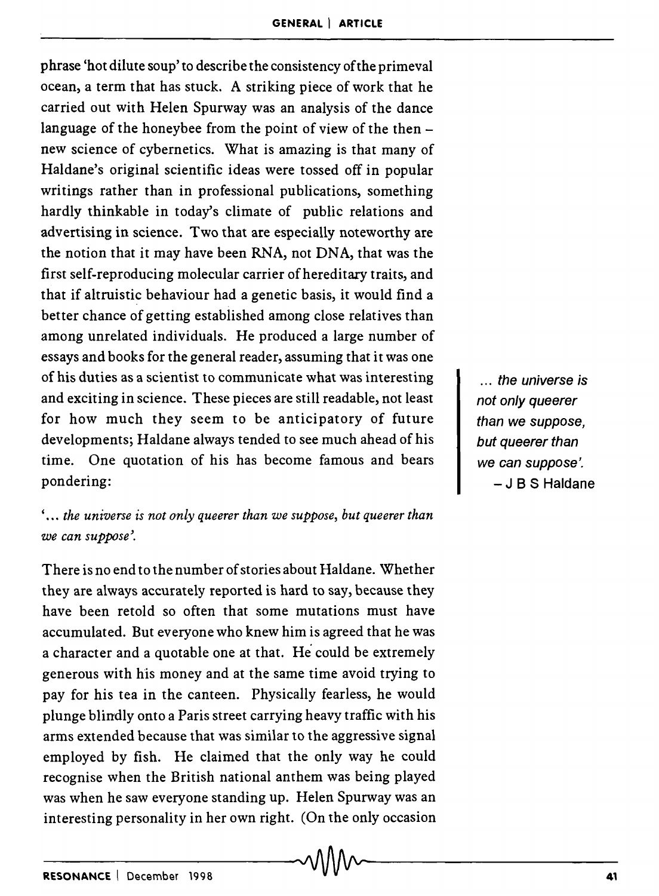phrase 'hot dilute soup' to describe the consistency of the primeval ocean, a term that has stuck. A striking piece of work that he carried out with Helen Spurway was an analysis of the dance language of the honeybee from the point of view of the then  $$ new science of cybernetics. What is amazing is that many of Haldane's original scientific ideas were tossed off in popular writings rather than in professional publications, something hardly thinkable in today's climate of public relations and advertising in science. Two that are especially noteworthy are the notion that it may have been RNA, not DNA, that was the first self-reproducing molecular carrier ofhereditaxy traits, and that if altruistic behaviour had a genetic basis, it would find a better chance of getting established among close relatives than among unrelated individuals. He produced a large number of essays and books for the general reader, assuming that it was one of his duties as a scientist to communicate what was interesting and exciting in science. These pieces are still readable, not least for how much they seem to be anticipatory of future developments; Haldane always tended to see much ahead of his time. One quotation of his has become famous and bears pondering:

, ... *the universe is not only queerer than we suppose, but queerer than we can suppose'.* 

There is no end to the number of stories about Haldane. Whether they are always accurately reported is hard to say, because they have been retold so often that some mutations must have accumulated. But everyone who knew him is agreed that he was a character and a quotable one at that. He could be extremely generous with his money and at the same time avoid trying to pay for his tea in the canteen. Physically fearless, he would plunge blindly onto a Paris street carrying heavy traffic with his arms extended because that was similar to the aggressive signal employed by fish. He claimed that the only way he could recognise when the British national anthem was being played was when he saw everyone standing up. Helen Spurway was an interesting personality in her own right. (On the only occasion

... the universe is not only queerer than we suppose, but queerer than we can suppose', - J B S Haldane